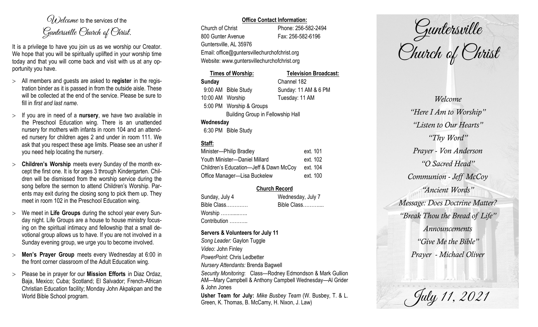$O(\lambda)$  elcame to the services of the Guntersville Church of Christ.

It is a privilege to have you join us as we worship our Creator. We hope that you will be spiritually uplifted in your worship time today and that you will come back and visit with us at any opportunity you have.

- All members and guests are asked to **register** in the registration binder as it is passed in from the outside aisle. These will be collected at the end of the service. Please be sure to fill in *first and last name*.
- $>$  If you are in need of a **nursery**, we have two available in the Preschool Education wing. There is an unattended nursery for mothers with infants in room 104 and an attended nursery for children ages 2 and under in room 111. We ask that you respect these age limits. Please see an usher if you need help locating the nursery.
- **Children's Worship** meets every Sunday of the month except the first one. It is for ages 3 through Kindergarten. Children will be dismissed from the worship service during the song before the sermon to attend Children's Worship. Parents may exit during the closing song to pick them up. They meet in room 102 in the Preschool Education wing.
- We meet in **Life Groups** during the school year every Sunday night. Life Groups are a house to house ministry focusing on the spiritual intimacy and fellowship that a small devotional group allows us to have. If you are not involved in a Sunday evening group, we urge you to become involved.
- **Men's Prayer Group** meets every Wednesday at 6:00 in the front corner classroom of the Adult Education wing.
- Please be in prayer for our **Mission Efforts** in Diaz Ordaz, Baja, Mexico; Cuba; Scotland; El Salvador; French-African Christian Education facility; Monday John Akpakpan and the World Bible School program.

## **Office Contact Information:**

Church of Christ Phone: 256-582-2494 800 Gunter Avenue Fax: 256-582-6196 Guntersville, AL 35976

Email: office@guntersvillechurchofchrist.org Website: www.guntersvillechurchofchrist.org

| Times of Worship:                        |                          | <b>Television Broadcast:</b> |  |  |
|------------------------------------------|--------------------------|------------------------------|--|--|
| Sunday                                   |                          | Channel 182                  |  |  |
|                                          | 9:00 AM Bible Study      | Sunday: 11 AM & 6 PM         |  |  |
| 10:00 AM Worship                         |                          | Tuesday: 11 AM               |  |  |
|                                          | 5:00 PM Worship & Groups |                              |  |  |
| <b>Building Group in Fellowship Hall</b> |                          |                              |  |  |
| Wednesday                                |                          |                              |  |  |
|                                          | 6:30 PM Bible Study      |                              |  |  |

# **Staff:**

| Minister-Philip Bradley                | ext. 101 |
|----------------------------------------|----------|
| Youth Minister-Daniel Millard          | ext. 102 |
| Children's Education-Jeff & Dawn McCoy | ext. 104 |
| Office Manager-Lisa Buckelew           | ext. 100 |

## **Church Record**

| Sunday, July 4 | Wednesday, July 7 |
|----------------|-------------------|
| Bible Class    | Bible Class       |
| Worship        |                   |
| Contribution   |                   |

### **Servers & Volunteers for July 11**

*Song Leader:* Gaylon Tuggle *Video*: John Finley *PowerPoint*: Chris Ledbetter *Nursery Attendants:* Brenda Bagwell *Security Monitoring*: Class—Rodney Edmondson & Mark Gullion AM—Mary Campbell & Anthony Campbell Wednesday—Al Grider & John Jones **Usher Team for July:** *Mike Busbey Team* (W. Busbey, T. & L. Green, K. Thomas, B. McCamy, H. Nixon, J. Law)

Guntersville Church of Christ

*Welcome "Here I Am to Worship" "Listen to Our Hearts" "Thy Word" Prayer - Von Anderson "O Sacred Head" Communion - Jeff McCoy "Ancient Words" Message: Does Doctrine Matter? "Break Thou the Bread of Life" Announcements "Give Me the Bible" Prayer - Michael Oliver*

July 11, 2021